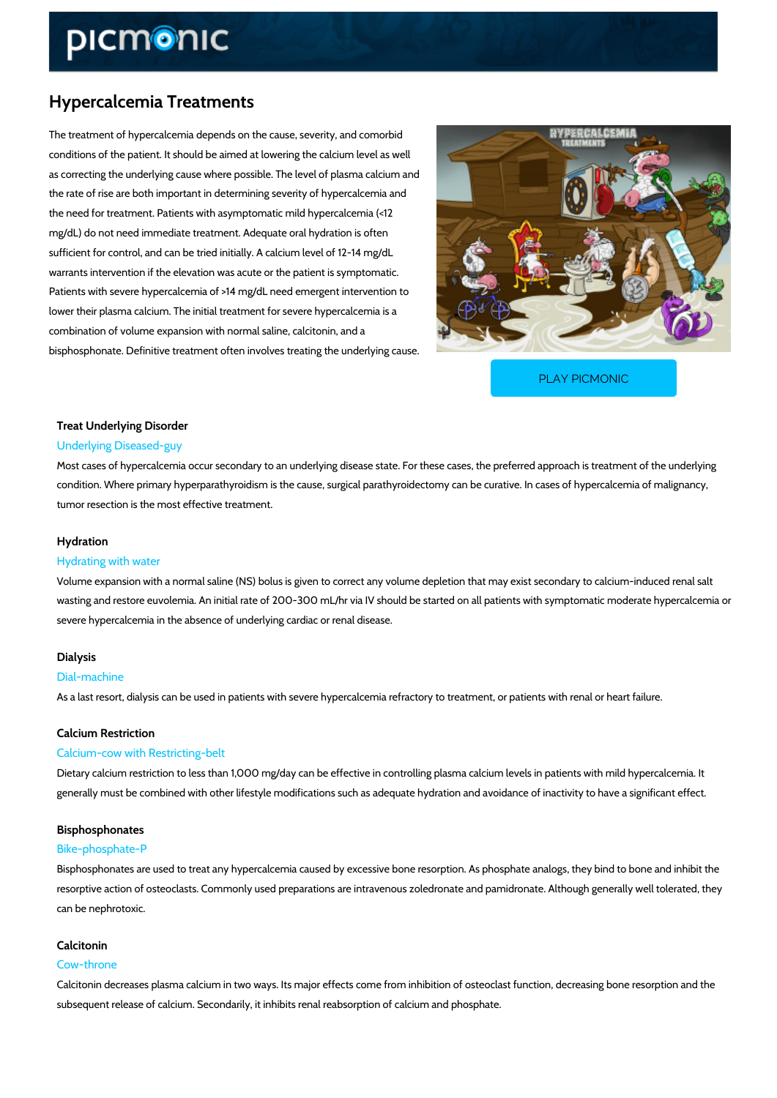# Hypercalcemia Treatments

The treatment of hypercalcemia depends on the cause, severity, and comorbid conditions of the patient. It should be aimed at lowering the calcium level as well as correcting the underlying cause where possible. The level of plasma calcium and the rate of rise are both important in determining severity of hypercalcemia and the need for treatment. Patients with asymptomatic mild hypercalcemia (<12 mg/dL) do not need immediate treatment. Adequate oral hydration is often sufficient for control, and can be tried initially. A calcium level of 12-14 mg/dL warrants intervention if the elevation was acute or the patient is symptomatic. Patients with severe hypercalcemia of >14 mg/dL need emergent intervention to lower their plasma calcium. The initial treatment for severe hypercalcemia is a combination of volume expansion with normal saline, calcitonin, and a bisphosphonate. Definitive treatment often involves treating the underlying cause.

[PLAY PICMONIC](https://www.picmonic.com/learn/hypercalcemia-treatments_8210?utm_source=downloadable_content&utm_medium=distributedcontent&utm_campaign=pathways_pdf&utm_content=Hypercalcemia Treatments&utm_ad_group=leads&utm_market=all)

# Treat Underlying Disorder

#### Underlying Diseased-guy

Most cases of hypercalcemia occur secondary to an underlying disease state. For these cases condition. Where primary hyperparathyroidism is the cause, surgical parathyroidectomy can be tumor resection is the most effective treatment.

### Hydration

## Hydrating with water

Volume expansion with a normal saline (NS) bolus is given to correct any volume depletion th wasting and restore euvolemia. An initial rate of 200-300 mL/hr via IV should be started on al severe hypercalcemia in the absence of underlying cardiac or renal disease.

# Dialysis

#### Dial-machine

As a last resort, dialysis can be used in patients with severe hypercalcemia refractory to trea

#### Calcium Restriction

## Calcium-cow with Restricting-belt

Dietary calcium restriction to less than 1,000 mg/day can be effective in controlling plasma ca generally must be combined with other lifestyle modifications such as adequate hydration and

#### Bisphosphonates

#### Bike-phosphate-P

Bisphosphonates are used to treat any hypercalcemia caused by excessive bone resorption. A resorptive action of osteoclasts. Commonly used preparations are intravenous zoledronate and can be nephrotoxic.

#### Calcitonin

## Cow-throne

Calcitonin decreases plasma calcium in two ways. Its major effects come from inhibition of os subsequent release of calcium. Secondarily, it inhibits renal reabsorption of calcium and phos